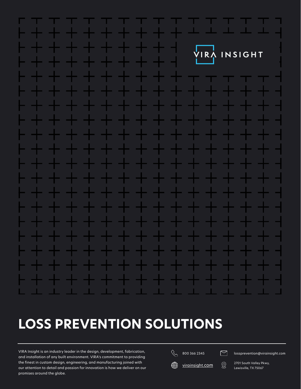

# **LOSS PREVENTION SOLUTIONS**

VIRA Insight is an industry leader in the design, development, fabrication, and installation of any built environment. VIRA's commitment to providing the finest in custom design, engineering, and manufacturing joined with our attention to detail and passion for innovation is how we deliver on our promises around the globe.

⊕

 $\overline{\mathcal{R}}$  800 366 2345 **in a supervention Exercise Section** 

 $virainsight.com <sup>2701</sup> South Valley Pkwy,   
 <sup>2701</sup> <sup>2701</sup> <sup>27047</sup> <sup>27047</sup>$  $virainsight.com <sup>2701</sup> South Valley Pkwy,   
 <sup>2701</sup> <sup>2701</sup> <sup>27047</sup> <sup>27047</sup>$  $virainsight.com <sup>2701</sup> South Valley Pkwy,   
 <sup>2701</sup> <sup>2701</sup> <sup>27047</sup> <sup>27047</sup>$ </u>

Lewisville, TX 75067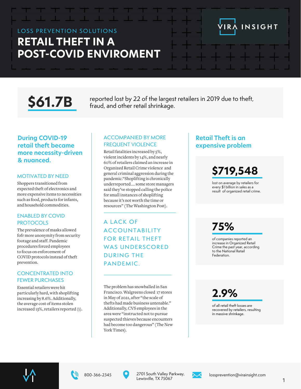# LOSS PREVENTION SOLUTIONS **RETAIL THEFT IN A POST-COVID ENVIROMENT**

\$61.7B reported lost by 22 of the largest retailers in 2019 due to theft,<br>**\$61.7B** fraud, and other retail shrinkage.

#### **During COVID-19 retail theft became more necessity-driven & nuanced.**

#### MOTIVATED BY NEED

Shoppers transitioned from expected theft of electronics and more expensive items to necessities such as food, products for infants, and household commodities.

#### ENABLED BY COVID **PROTOCOLS**

The prevalence of masks allowed fofr more anonymity from security footage and staff. Pandemic procedures forced employees to focus on enforcement of COVID protocols instead of theft prevention.

#### CONCENTRATED INTO FEWER PURCHASES

Essential retailers were hit particularly hard, with shoplifting increasing by 8.6%. Additionally, the average cost of items stolen increased 13%, retailers reported (1).

#### ACCOMPANIED BY MORE FREQUENT VIOLENCE

Retail fatalities increased by 5%, violent incidents by 14%, and nearly 60% of retailers claimed an increase in Organized Retail Crime violence and general criminal aggression during the pandemic."Shoplifting is chronically underreported.... some store managers said they've stopped calling the police for small instances of shoplifting because it's not worth the time or resources" (The Washington Post).

A LACK OF **ACCOUNTABILITY FOR RETAIL THEFT** WAS UNDERSCORED DURING THE PANDEMIC.

The problem has snowballed in San Francisco. Walgreens closed 17 stores in May of 2021, after "the scale of thefts had made business untenable." Additionally, CVS employees in the area were "instructed not to pursue suspected thieves because encounters had become too dangerous" (The New York Times).

#### **Retail Theft is an expensive problem**

# **\$719,548**

INSIGHT

lost on average by retailers for every \$1 billion in sales as a result of organized retail crime.

# **75%**

of companies reported an increase in Organized Retail Crime the past year, according to the National Retail Federation.

**2.9%**

of all retail theft losses are recovered by retailers, resulting in massive shrinkage.







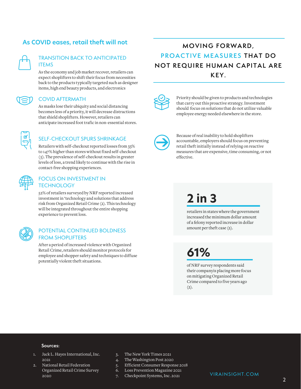#### **As COVID eases, retail theft will not**

#### TRANSITION BACK TO ANTICIPATED ITEMS

As the economy and job market recover, retailers can expect shoplifters to shift their focus from necessities back to the products typically targeted such as designer items, high end beauty products, and electronics

#### COVID AFTERMATH

As masks lose their ubiquity and social distancing becomes less of a priority, it will decrease distractions that shield shoplifters. However, retailers can anticipate increased foot trafic in non-essential stores.



#### SELF-CHECKOUT SPURS SHRINKAGE

Retailers with self-checkout reported losses from 33% to 147% higher than stores without fixed self-checkout (5). The prevalence of self-checkout results in greater levels of loss, a trend likely to continue with the rise in contact-free shopping experiences.



#### FOCUS ON INVESTMENT IN **TECHNOLOGY**

52% of retailers surveyed by NRF reported increased investment in 'technology and solutions that address risk from Organized Retail Crime (2). This technology will be integrated throughout the entire shopping experience to prevent loss.

#### POTENTIAL CONTINUED BOLDNESS FROM SHOPLIFTERS

After a period of increased violence with Organized Retail Crime, retailers should monitor protocols for employee and shopper safety and techniques to diffuse potentially violent theft situations.

### **MOVING FORWARD, PROACTIVE MEASURES THAT DO NOT REQUIRE HUMAN CAPITAL ARE KEY.**



Priority should be given to products and technologies that carry out this proactive strategy. Investment should focus on solutions that do not utilize valuable employee energy needed elsewhere in the store.



Because of real inability to hold shoplifters accountable, employers should focus on preventing retail theft initially instead of relying on reactive measures that are expensive, time consuming, or not effective.

# **2 in 3**

retailers in states where the government increased the minimum dollar amount of a felony reported increase in dollar amount per theft case (2).

**61%**

of NRF survey respondents said their companyis placing more focus on mitigating Organized Retail Crime compared to five years ago  $(2).$ 

#### **Sources:**

- 1. Jack L. Hayes International, Inc. 2021
- 2. National Retail Federation Organized Retail Crime Survey 2020
- 3. The New York Times 2021
- 4. The Washington Post 2020
- 5. Efficient Consumer Response 2018
- 6. Loss Prevention Magazine 2021
- 7. Checkpoint Systems, Inc. 2021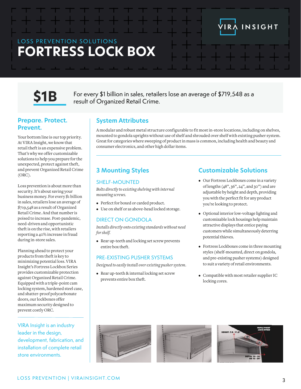## LOSS PREVENTION SOLUTIONS **FORTRESS LOCK BOX**



 $S1B$  For every \$1 billion in sales, retailers lose an average of \$719,548 as a result of Organized Retail Crime.

#### **Prepare. Protect. Prevent.**

Your bottom line is our top priority. At VIRA Insight, we know that retail theft is an expensive problem. That's why we offer customizable solutions to help you prepare for the unexpected, protect against theft, and prevent Organized Retail Crime (ORC).

Loss prevention is about more than security. It's about saving your business money. For every \$1 billion in sales, retailers lose an average of \$719,548 as a result of Organized Retail Crime. And that number is poised to increase. Post-pandemic, need-driven and opportunistic theft is on the rise, with retailers reporting a 40% increase in fraud during in-store sales.

Planning ahead to protect your products from theft is key to minimizing potential loss. VIRA Insight's Fortress Lockbox Series provides customizable protection against Organized Retail Crime. Equipped with a triple-point cam locking system, hardened steel case, and shatter-proof polycarbonate doors, our lockboxes offer maximum security designed to prevent costly ORC.

VIRA Insight is an industry leader in the design, development, fabrication, and installation of complete retail store environments.

#### **System Attributes**

A modular and robust metal structure configurable to fit most in-store locations, including on shelves, mounted to gondola uprights without use of shelf and shrouded over shelf with existing pusher system. Great for categories where sweeping of product in mass is common, including health and beauty and consumer electronics, and other high dollar items.

### **3 Mounting Styles**

#### SHELF-MOUNTED

*Bolts directly to existing shelving with internal mounting screws.*

- Perfect for boxed or carded product.
- Use on shelf or as above-head locked storage.

#### DIRECT ON GONDOLA

entire box theft.

*Installs directly onto existing standards without need for shelf.*

• Rear up-teeth and locking set screw prevents

#### PRE-EXISTING PUSHER SYSTEMS

*Designed to easily install over existing pusher system.*

• Rear up-teeth & internal locking set screw prevents entire box theft.

#### **Customizable Solutions**

• Our Fortress Lockboxes come in a variety of lengths (48'', 36'', 24'', and 30'') and are adjustable by height and depth, providing you with the perfect fit for any product you're looking to protect.

INSIGHT

- Optional interior low-voltage lighting and customizable lock housings help maintain attractive displays that entice paying customers while simultaneously deterring potential thieves.
- Fortress Lockboxes come in three mounting styles (shelf-mounted, direct on gondola, and pre-existing pusher systems) designed to suit a variety of retail environments.
- Compatible with most retailer supplier IC locking cores.



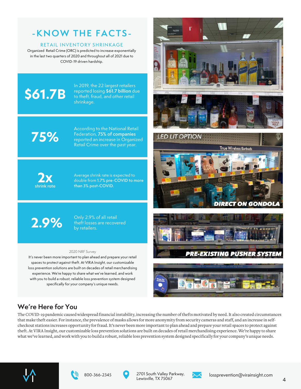# **-KNOW THE FACTS-**

#### RETAIL INVENTORY SHRINKAGE

Organized Retail Crime (ORC) is predicted to increase exponentially in the last two quarters of 2020 and throughout all of 2021 due to COVID-19 driven hardship.

# **\$61.7B**

In 2019, the 22 largest retailers reported losing **\$61.7 billion** due to theft, fraud, and other retail shrinkage.

**75%**

According to the National Retail Federation, **75% of companies** reported an increase in Organized Retail Crime over the past year.



Average shrink rate is expected to double from **1.7% pre-COVID to more than 3% post-COVID.**



Only 2.9% of all retail theft losses are recovered by retailers.

#### 2020 NRF Survey

It's never been more important to plan ahead and prepare your retail spaces to protect against theft. At VIRA Insight, our customizable loss prevention solutions are built on decades of retail merchandising experience. We're happy to share what we've learned, and work with you to build a robust, reliable loss prevention system designed specifically for your company's unique needs.









### **We're Here for You**

The COVID-19 pandemic caused widespread financial instability, increasing the number of thefts motivated by need. It also created circumstances that make theft easier. For instance, the prevalence of masks allows for more anonymity from security cameras and staff, and an increase in selfcheckout stations increases opportunity for fraud. It's never been more important to plan ahead and prepare your retail spaces to protect against theft. At VIRA Insight, our customizable loss prevention solutions are built on decades of retail merchandising experience. We're happy to share what we've learned, and work with you to build a robust, reliable loss prevention system designed specifically for your company's unique needs.









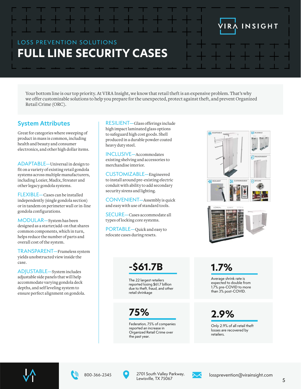# LOSS PREVENTION SOLUTIONS **FULL LINE SECURITY CASES**

Your bottom line is our top priority. At VIRA Insight, we know that retail theft is an expensive problem. That's why we offer customizable solutions to help you prepare for the unexpected, protect against theft, and prevent Organized Retail Crime (ORC).

#### **System Attributes**

Great for categories where sweeping of product in mass is common, including health and beauty and consumer electronics, and other high dollar items.

ADAPTABLE—Universal in design to fit on a variety of existing retail gondola systems across multiple manufacturers, including Lozier, Madix, Streater and other legacy gondola systems.

FLEXIBLE—Cases can be installed independently (single gondola section) or in tandem on perimeter wall or in-line gondola configurations.

MODULAR—System has been designed as a starter/add-on that shares common components, which in turn, helps reduce the number of parts and overall cost of the system.

TRANSPARENT—Frameless system yields unobstructed view inside the case.

ADJUSTABLE—System includes adjustable side panels that will help accommodate varying gondola deck depths, and self leveling system to ensure perfect alignment on gondola.

RESILIENT—Glass offerings include high impact laminated glass options to safeguard high cost goods. Shell produced in a durable powder coated heavy duty steel.

INCLUSIVE—Accommodates existing shelving and accessories to merchandise interior.

CUSTOMIZABLE—Engineered to install around pre-existing electric conduit with ability to add secondary security sirens and lighting.

CONVENIENT—Assembly is quick and easy with use of standard tools.

SECURE—Cases accommodate all types of locking core systems.

PORTABLE—Quick and easy to relocate cases during resets.



INSIGHT

I R

# **-\$61.7B**

*. .* reported losing \$61.7 billion The 22 largest retailers due to theft, fraud, and other retail shrinkage

**75%**

*. .* Organized Retail Crime over Federation, 75% of companies reported an increase in the past year.

**1.7%**

Average shrink rate is expected to double from 1.7% pre-COVID to more than 3% post-COVID.

**2.9%**

Only 2.9% of all retail theft losses are recovered by retailers.







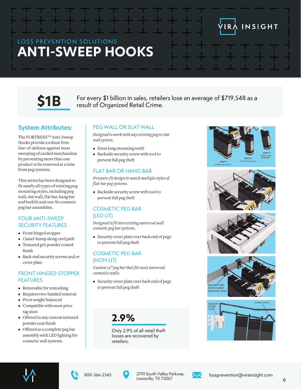# LOSS PREVENTION SOLUTIONS **ANTI-SWEEP HOOKS**



 $$1B$  For every \$1 billion in sales, retailers lose an average of \$719,548 as a result of Organized Retail Crime.

### **System Attributes:**

The FORTRESSTM Anti-Sweep Hooks provide a robust firstline-of-defense against mass sweeping of carded merchandise by preventing more than one product to be removed at a time from peg systems.

This series has been designed to fit nearly all types of existing peg mounting styles, including peg wall, slat wall, flat bar, hang bar and bothlit and non-lit cosmetic peg bar assemblies.

#### FOUR ANTI-SWEEP SECURITY FEATURES

- Front hinged stopper
- Camel-hump along card path
- Textured grit powder coated finish
- Back-end security screws and or cover plate

#### FRONT HINGED STOPPER FEATURES

- Removable for restocking
- Requires two-handed removal
- Pivot weight balanced
- Compatible with most price tag sizes
- Offered in any custom textured powder coat finish
- Offered as a complete peg bar assembly with LED lighting for cosmetic wall systems

#### PEG WALL OR SLAT WALL

*Designed to work with any existing peg or slat wall system.*

- Extra long mounting teeth
- Backside security screw with tool to prevent full peg theft

#### FLAT BAR OR HANG BAR

*Pressure-fit design to match multiple styles of f lat-bar peg systems.*

• Backside security screw with tool to prevent full peg theft

#### COSMETIC PEG BAR (LED LIT)

*Designed to fit into existing universal wall cosmetic peg bar systems.*

• Security cover plate over back end of pegs to prevent full peg theft

#### COSMETIC PEG BAR (NON LIT)

*Custom 12" peg bar that fits most universal cosmetics walls.*

• Security cover plate over back end of pegs to prevent full peg theft

**2.9%**

Only 2.9% of all retail theft losses are recovered by retailers.



IRA INSIGHT















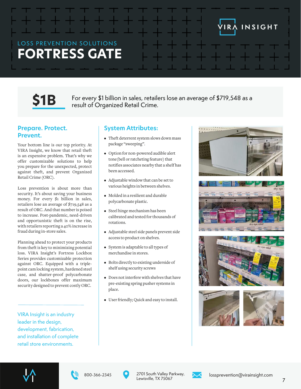## LOSS PREVENTION SOLUTIONS **FORTRESS GATE**



 $\mathsf{S1B}\qquad\mathsf{For\ every\ $1$ billion in sales, retains loss an average of $719,548 as a result of Organized Retail C$ .

#### **Prepare. Protect. Prevent.**

Your bottom line is our top priority. At VIRA Insight, we know that retail theft is an expensive problem. That's why we offer customizable solutions to help you prepare for the unexpected, protect against theft, and prevent Organized Retail Crime (ORC).

Loss prevention is about more than security. It's about saving your business money. For every \$1 billion in sales, retailers lose an average of \$719,548 as a result of ORC. And that number is poised to increase. Post-pandemic, need-driven and opportunistic theft is on the rise, with retailers reporting a 40% increase in fraud during in-store sales.

Planning ahead to protect your products from theft is key to minimizing potential loss. VIRA Insight's Fortress Lockbox Series provides customizable protection against ORC. Equipped with a triplepoint cam locking system, hardened steel case, and shatter-proof polycarbonate doors, our lockboxes offer maximum security designed to prevent costly ORC.

VIRA Insight is an industry leader in the design, development, fabrication, and installation of complete retail store environments.

#### **System Attributes:**

- Theft deterrent system slows down mass package "sweeping".
- Option for non-powered audible alert tone(bell or ratcheting feature) that notifies associates nearby that a shelf has been accessed.
- Adjustable window that can be set to various heights in between shelves.
- Molded in a resilient and durable polycarbonate plastic.
- Steel hinge mechanism has been calibrated and tested for thousands of rotations.
- Adjustable steel side panels prevent side access to product on shelves.
- System is adaptable to all types of merchandise in stores.
- Bolts directly to existing underside of shelf using security screws
- Does not interfere with shelves that have pre-existing spring pusher systems in place.
- User friendly; Quick and easy to install.



INSIGHT











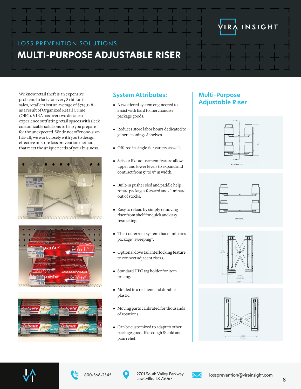## LOSS PREVENTION SOLUTIONS **MULTI-PURPOSE ADJUSTABLE RISER**

We know retail theft is an expensive problem. In fact, for every \$1 billon in sales, retailers lost an average of \$719,548 as a result of Organized Retail Crime (ORC). VIRA has over two decades of experience outfitting retail spaces with sleek customizable solutions to help you prepare for the unexpected. We do not offer one-sizefits-all, we work closely with you to design effective in-store loss prevention methods that meet the unique needs of your business.







### **System Attributes:**

- A two tiered system engineered to assist with hard to merchandise package goods.
- Reduces store labor hours dedicated to general zoning of shelves.
- Offered in single tier variety as well.
- Scissor like adjustment feature allows upper and lower levels to expand and contract from 5" to 9" in width.
- Built-in pusher sled and paddle help rotate packages forward and eliminate out of stocks.
- Easy to reload by simply removing riser from shelf for quick and easy restocking.
- Theft deterrent system that eliminates package "sweeping".
- Optional dove tail interlocking feature to connect adjacent risers.
- Standard UPC tag holder for item pricing.
- Molded in a resilient and durable plastic.
- Moving parts calibrated for thousands of rotations.
- Can be customized to adapt to other package goods like cough & cold and pain relief.

### **Multi-Purpose Adjustable Riser**



INSIGHT















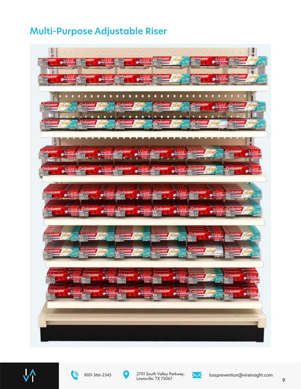# **Multi-Purpose Adjustable Riser**